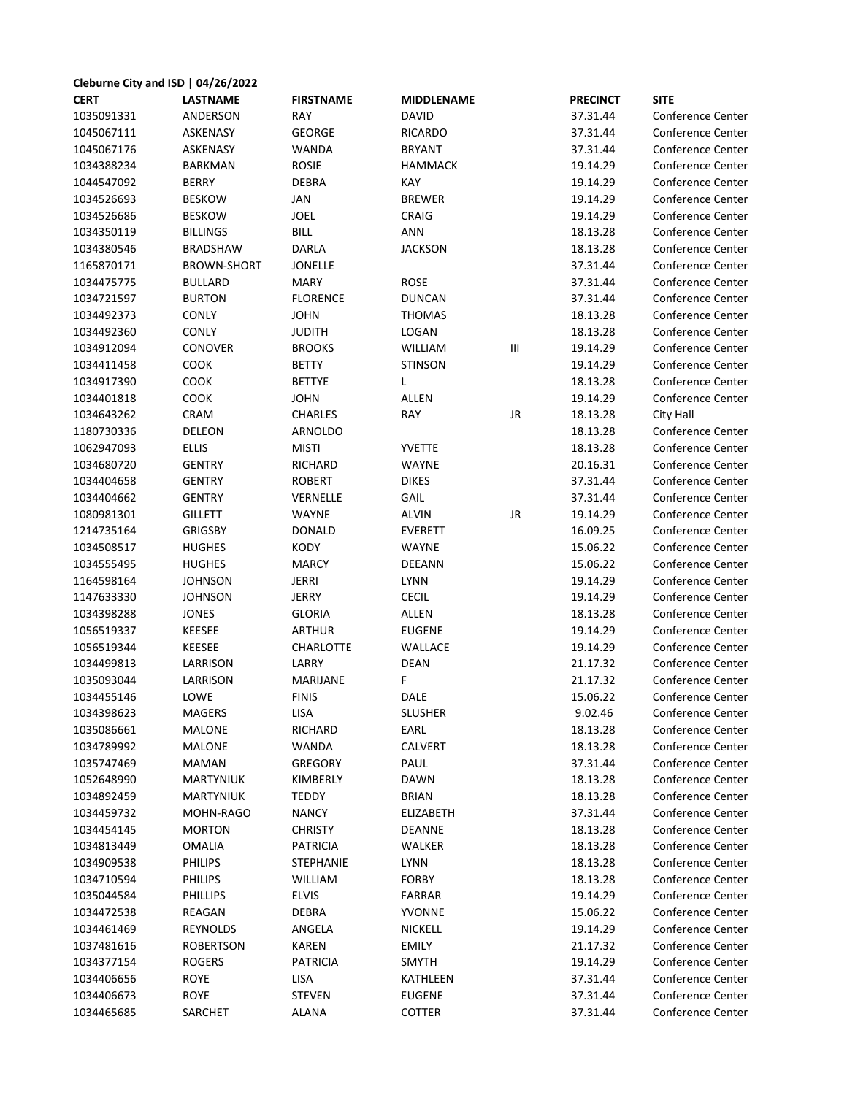| Cleburne City and ISD   04/26/2022 |                    |                  |                   |                                  |                 |                          |  |  |  |  |
|------------------------------------|--------------------|------------------|-------------------|----------------------------------|-----------------|--------------------------|--|--|--|--|
| <b>CERT</b>                        | <b>LASTNAME</b>    | <b>FIRSTNAME</b> | <b>MIDDLENAME</b> |                                  | <b>PRECINCT</b> | <b>SITE</b>              |  |  |  |  |
| 1035091331                         | ANDERSON           | RAY              | <b>DAVID</b>      |                                  | 37.31.44        | Conference Center        |  |  |  |  |
| 1045067111                         | ASKENASY           | <b>GEORGE</b>    | <b>RICARDO</b>    |                                  | 37.31.44        | Conference Center        |  |  |  |  |
| 1045067176                         | <b>ASKENASY</b>    | <b>WANDA</b>     | <b>BRYANT</b>     |                                  | 37.31.44        | Conference Center        |  |  |  |  |
| 1034388234                         | <b>BARKMAN</b>     | <b>ROSIE</b>     | <b>HAMMACK</b>    |                                  | 19.14.29        | Conference Center        |  |  |  |  |
| 1044547092                         | <b>BERRY</b>       | <b>DEBRA</b>     | KAY               |                                  | 19.14.29        | Conference Center        |  |  |  |  |
| 1034526693                         | <b>BESKOW</b>      | <b>JAN</b>       | <b>BREWER</b>     |                                  | 19.14.29        | Conference Center        |  |  |  |  |
| 1034526686                         | <b>BESKOW</b>      | <b>JOEL</b>      | CRAIG             |                                  | 19.14.29        | Conference Center        |  |  |  |  |
| 1034350119                         | <b>BILLINGS</b>    | <b>BILL</b>      | ANN               |                                  | 18.13.28        | <b>Conference Center</b> |  |  |  |  |
| 1034380546                         | <b>BRADSHAW</b>    | DARLA            | <b>JACKSON</b>    |                                  | 18.13.28        | Conference Center        |  |  |  |  |
| 1165870171                         | <b>BROWN-SHORT</b> | JONELLE          |                   |                                  | 37.31.44        | <b>Conference Center</b> |  |  |  |  |
| 1034475775                         | <b>BULLARD</b>     | <b>MARY</b>      | <b>ROSE</b>       |                                  | 37.31.44        | Conference Center        |  |  |  |  |
| 1034721597                         | <b>BURTON</b>      | <b>FLORENCE</b>  | <b>DUNCAN</b>     |                                  | 37.31.44        | Conference Center        |  |  |  |  |
| 1034492373                         | CONLY              | <b>JOHN</b>      | <b>THOMAS</b>     |                                  | 18.13.28        | Conference Center        |  |  |  |  |
| 1034492360                         | CONLY              | <b>JUDITH</b>    | LOGAN             |                                  | 18.13.28        | Conference Center        |  |  |  |  |
| 1034912094                         | CONOVER            | <b>BROOKS</b>    | WILLIAM           | $\mathop{\mathsf{III}}\nolimits$ | 19.14.29        | Conference Center        |  |  |  |  |
| 1034411458                         | COOK               | <b>BETTY</b>     | <b>STINSON</b>    |                                  | 19.14.29        | Conference Center        |  |  |  |  |
| 1034917390                         | COOK               | <b>BETTYE</b>    | L                 |                                  | 18.13.28        | Conference Center        |  |  |  |  |
| 1034401818                         | COOK               | <b>JOHN</b>      | ALLEN             |                                  | 19.14.29        | Conference Center        |  |  |  |  |
| 1034643262                         | CRAM               | <b>CHARLES</b>   | RAY               | JR                               | 18.13.28        | City Hall                |  |  |  |  |
| 1180730336                         | DELEON             | ARNOLDO          |                   |                                  | 18.13.28        | Conference Center        |  |  |  |  |
| 1062947093                         | <b>ELLIS</b>       | <b>MISTI</b>     | <b>YVETTE</b>     |                                  | 18.13.28        | <b>Conference Center</b> |  |  |  |  |
| 1034680720                         | <b>GENTRY</b>      | <b>RICHARD</b>   | WAYNE             |                                  | 20.16.31        | Conference Center        |  |  |  |  |
| 1034404658                         | <b>GENTRY</b>      | <b>ROBERT</b>    | <b>DIKES</b>      |                                  | 37.31.44        | Conference Center        |  |  |  |  |
| 1034404662                         | <b>GENTRY</b>      | VERNELLE         | GAIL              |                                  | 37.31.44        | Conference Center        |  |  |  |  |
| 1080981301                         | <b>GILLETT</b>     | <b>WAYNE</b>     | <b>ALVIN</b>      | JR                               | 19.14.29        | Conference Center        |  |  |  |  |
| 1214735164                         | <b>GRIGSBY</b>     | <b>DONALD</b>    | <b>EVERETT</b>    |                                  | 16.09.25        | Conference Center        |  |  |  |  |
| 1034508517                         | <b>HUGHES</b>      | KODY             | WAYNE             |                                  | 15.06.22        | Conference Center        |  |  |  |  |
| 1034555495                         | <b>HUGHES</b>      | <b>MARCY</b>     | <b>DEEANN</b>     |                                  | 15.06.22        | Conference Center        |  |  |  |  |
| 1164598164                         | <b>JOHNSON</b>     | <b>JERRI</b>     | LYNN              |                                  | 19.14.29        | Conference Center        |  |  |  |  |
| 1147633330                         | <b>JOHNSON</b>     | JERRY            | <b>CECIL</b>      |                                  | 19.14.29        | Conference Center        |  |  |  |  |
| 1034398288                         | <b>JONES</b>       | <b>GLORIA</b>    | ALLEN             |                                  | 18.13.28        | Conference Center        |  |  |  |  |
| 1056519337                         | <b>KEESEE</b>      | <b>ARTHUR</b>    | <b>EUGENE</b>     |                                  | 19.14.29        | Conference Center        |  |  |  |  |
| 1056519344                         | KEESEE             | CHARLOTTE        | WALLACE           |                                  | 19.14.29        | Conference Center        |  |  |  |  |
| 1034499813                         | LARRISON           | LARRY            | <b>DEAN</b>       |                                  | 21.17.32        | Conference Center        |  |  |  |  |
| 1035093044                         | LARRISON           | <b>MARIJANE</b>  | F                 |                                  | 21.17.32        | Conference Center        |  |  |  |  |
| 1034455146                         | LOWE               | <b>FINIS</b>     | DALE              |                                  | 15.06.22        | Conference Center        |  |  |  |  |
| 1034398623                         | <b>MAGERS</b>      | LISA             | <b>SLUSHER</b>    |                                  | 9.02.46         | Conference Center        |  |  |  |  |
| 1035086661                         | MALONE             | RICHARD          | EARL              |                                  | 18.13.28        | Conference Center        |  |  |  |  |
| 1034789992                         | MALONE             | WANDA            | CALVERT           |                                  | 18.13.28        | Conference Center        |  |  |  |  |
| 1035747469                         | <b>MAMAN</b>       | <b>GREGORY</b>   | PAUL              |                                  | 37.31.44        | Conference Center        |  |  |  |  |
| 1052648990                         | <b>MARTYNIUK</b>   | KIMBERLY         | <b>DAWN</b>       |                                  | 18.13.28        | Conference Center        |  |  |  |  |
| 1034892459                         | <b>MARTYNIUK</b>   | <b>TEDDY</b>     | <b>BRIAN</b>      |                                  | 18.13.28        | Conference Center        |  |  |  |  |
| 1034459732                         | MOHN-RAGO          | <b>NANCY</b>     | ELIZABETH         |                                  | 37.31.44        | Conference Center        |  |  |  |  |
| 1034454145                         | <b>MORTON</b>      | <b>CHRISTY</b>   | <b>DEANNE</b>     |                                  | 18.13.28        | Conference Center        |  |  |  |  |
| 1034813449                         | <b>OMALIA</b>      | PATRICIA         | WALKER            |                                  | 18.13.28        | Conference Center        |  |  |  |  |
| 1034909538                         | <b>PHILIPS</b>     | <b>STEPHANIE</b> | <b>LYNN</b>       |                                  | 18.13.28        | Conference Center        |  |  |  |  |
| 1034710594                         | <b>PHILIPS</b>     | <b>WILLIAM</b>   | <b>FORBY</b>      |                                  | 18.13.28        | Conference Center        |  |  |  |  |
| 1035044584                         | <b>PHILLIPS</b>    | <b>ELVIS</b>     | <b>FARRAR</b>     |                                  | 19.14.29        | Conference Center        |  |  |  |  |
| 1034472538                         | REAGAN             | <b>DEBRA</b>     | YVONNE            |                                  | 15.06.22        | Conference Center        |  |  |  |  |
| 1034461469                         | REYNOLDS           | ANGELA           | <b>NICKELL</b>    |                                  | 19.14.29        | Conference Center        |  |  |  |  |
| 1037481616                         | <b>ROBERTSON</b>   | <b>KAREN</b>     | <b>EMILY</b>      |                                  | 21.17.32        | Conference Center        |  |  |  |  |
| 1034377154                         | <b>ROGERS</b>      | <b>PATRICIA</b>  | <b>SMYTH</b>      |                                  | 19.14.29        | Conference Center        |  |  |  |  |
| 1034406656                         | ROYE               | LISA             | KATHLEEN          |                                  | 37.31.44        | Conference Center        |  |  |  |  |
| 1034406673                         | <b>ROYE</b>        | <b>STEVEN</b>    | EUGENE            |                                  | 37.31.44        | Conference Center        |  |  |  |  |
| 1034465685                         | SARCHET            | <b>ALANA</b>     | COTTER            |                                  | 37.31.44        | Conference Center        |  |  |  |  |